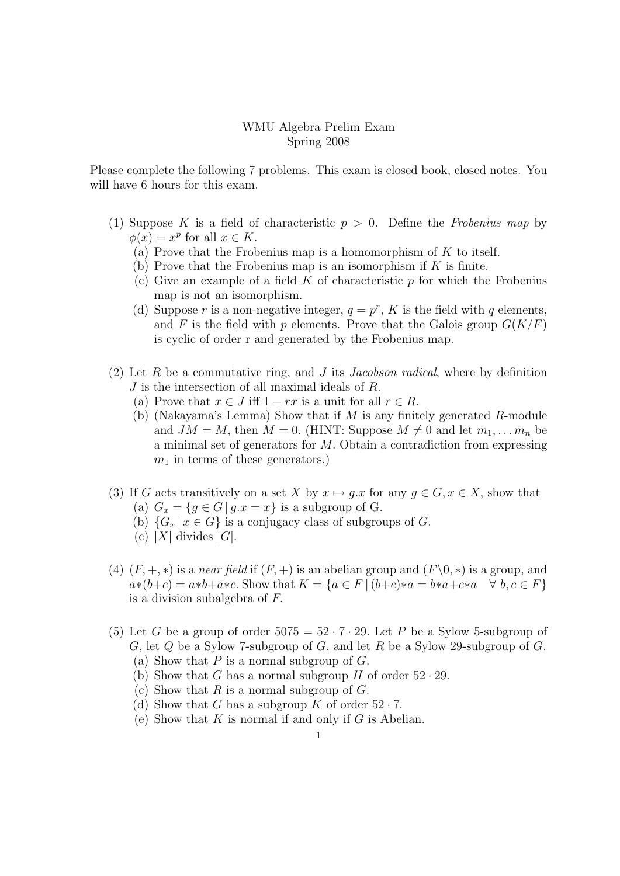## WMU Algebra Prelim Exam Spring 2008

Please complete the following 7 problems. This exam is closed book, closed notes. You will have 6 hours for this exam.

- (1) Suppose K is a field of characteristic  $p > 0$ . Define the Frobenius map by  $\phi(x) = x^p$  for all  $x \in K$ .
	- (a) Prove that the Frobenius map is a homomorphism of  $K$  to itself.
	- (b) Prove that the Frobenius map is an isomorphism if  $K$  is finite.
	- (c) Give an example of a field  $K$  of characteristic  $p$  for which the Frobenius map is not an isomorphism.
	- (d) Suppose r is a non-negative integer,  $q = p^r$ , K is the field with q elements, and F is the field with p elements. Prove that the Galois group  $G(K/F)$ is cyclic of order r and generated by the Frobenius map.
- (2) Let R be a commutative ring, and J its Jacobson radical, where by definition J is the intersection of all maximal ideals of R.
	- (a) Prove that  $x \in J$  iff  $1 rx$  is a unit for all  $r \in R$ .
	- (b) (Nakayama's Lemma) Show that if  $M$  is any finitely generated  $R$ -module and  $JM = M$ , then  $M = 0$ . (HINT: Suppose  $M \neq 0$  and let  $m_1, \ldots, m_n$  be a minimal set of generators for M. Obtain a contradiction from expressing  $m_1$  in terms of these generators.)
- (3) If G acts transitively on a set X by  $x \mapsto q.x$  for any  $q \in G, x \in X$ , show that (a)  $G_x = \{g \in G \mid g.x = x\}$  is a subgroup of G.
	- (b)  ${G_x | x \in G}$  is a conjugacy class of subgroups of G.
	- (c) |X| divides  $|G|$ .
- (4)  $(F, +, *)$  is a near field if  $(F, +)$  is an abelian group and  $(F\setminus 0, *)$  is a group, and  $a*(b+c) = a*b+a*c$ . Show that  $K = \{a \in F \mid (b+c)*a = b*a+c*a \quad \forall \ b,c \in F\}$ is a division subalgebra of F.
- (5) Let G be a group of order  $5075 = 52 \cdot 7 \cdot 29$ . Let P be a Sylow 5-subgroup of G, let  $Q$  be a Sylow 7-subgroup of  $G$ , and let  $R$  be a Sylow 29-subgroup of  $G$ .
	- (a) Show that  $P$  is a normal subgroup of  $G$ .
	- (b) Show that G has a normal subgroup H of order  $52 \cdot 29$ .
	- (c) Show that R is a normal subgroup of  $G$ .
	- (d) Show that G has a subgroup K of order  $52 \cdot 7$ .
	- (e) Show that  $K$  is normal if and only if  $G$  is Abelian.